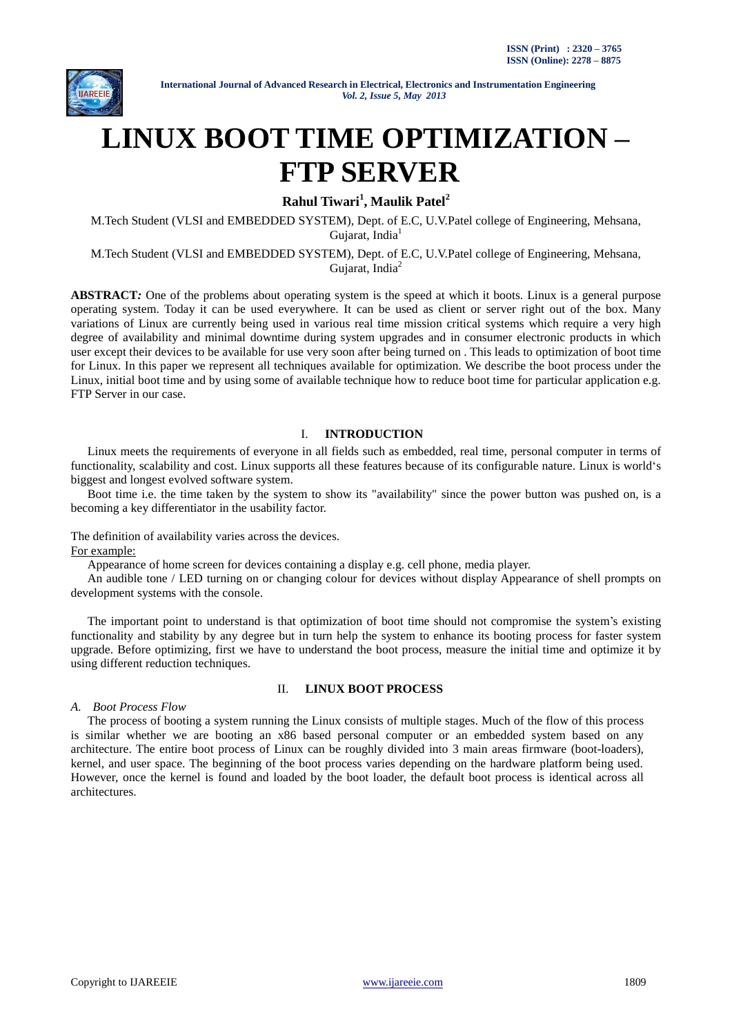

# **LINUX BOOT TIME OPTIMIZATION – FTP SERVER**

**Rahul Tiwari<sup>1</sup> , Maulik Patel<sup>2</sup>**

M.Tech Student (VLSI and EMBEDDED SYSTEM), Dept. of E.C, U.V.Patel college of Engineering, Mehsana, Gujarat, India<sup>1</sup>

M.Tech Student (VLSI and EMBEDDED SYSTEM), Dept. of E.C, U.V.Patel college of Engineering, Mehsana, Gujarat, India<sup>2</sup>

**ABSTRACT***:* One of the problems about operating system is the speed at which it boots. Linux is a general purpose operating system. Today it can be used everywhere. It can be used as client or server right out of the box. Many variations of Linux are currently being used in various real time mission critical systems which require a very high degree of availability and minimal downtime during system upgrades and in consumer electronic products in which user except their devices to be available for use very soon after being turned on . This leads to optimization of boot time for Linux. In this paper we represent all techniques available for optimization. We describe the boot process under the Linux, initial boot time and by using some of available technique how to reduce boot time for particular application e.g. FTP Server in our case.

## I. **INTRODUCTION**

Linux meets the requirements of everyone in all fields such as embedded, real time, personal computer in terms of functionality, scalability and cost. Linux supports all these features because of its configurable nature. Linux is world"s biggest and longest evolved software system.

Boot time i.e. the time taken by the system to show its "availability" since the power button was pushed on, is a becoming a key differentiator in the usability factor.

The definition of availability varies across the devices. For example:

Appearance of home screen for devices containing a display e.g. cell phone, media player.

An audible tone / LED turning on or changing colour for devices without display Appearance of shell prompts on development systems with the console.

The important point to understand is that optimization of boot time should not compromise the system"s existing functionality and stability by any degree but in turn help the system to enhance its booting process for faster system upgrade. Before optimizing, first we have to understand the boot process, measure the initial time and optimize it by using different reduction techniques.

#### II. **LINUX BOOT PROCESS**

#### *A. Boot Process Flow*

The process of booting a system running the Linux consists of multiple stages. Much of the flow of this process is similar whether we are booting an x86 based personal computer or an embedded system based on any architecture. The entire boot process of Linux can be roughly divided into 3 main areas firmware (boot-loaders), kernel, and user space. The beginning of the boot process varies depending on the hardware platform being used. However, once the kernel is found and loaded by the boot loader, the default boot process is identical across all architectures.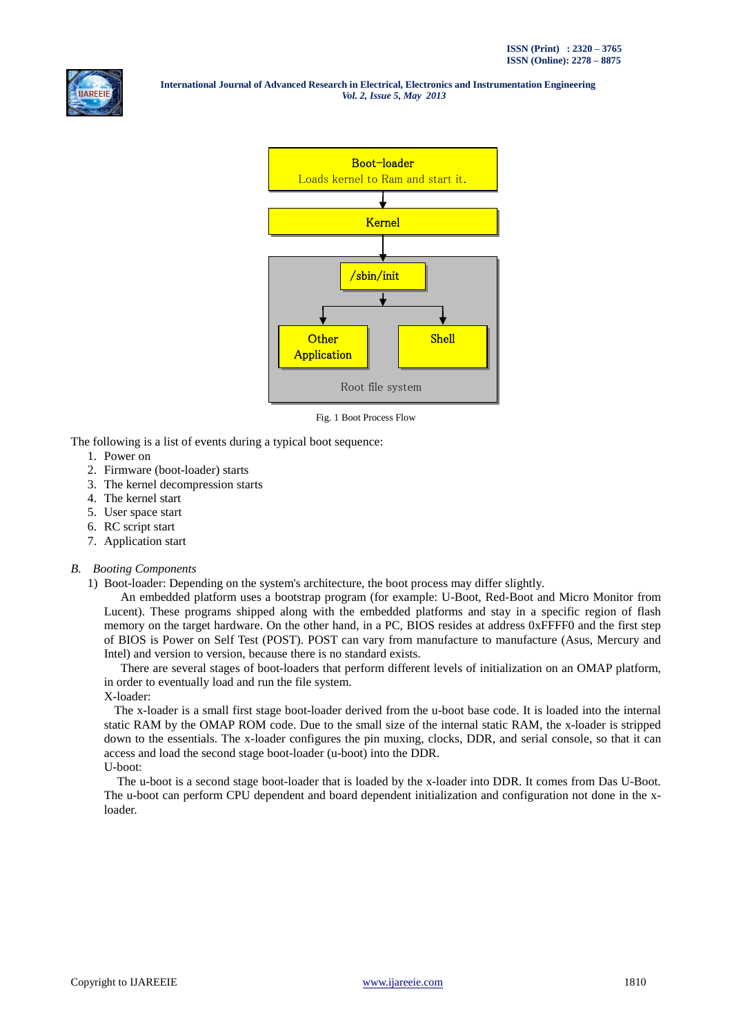



Fig. 1 Boot Process Flow

The following is a list of events during a typical boot sequence:

- 1. Power on
- 2. Firmware (boot-loader) starts
- 3. The kernel decompression starts
- 4. The kernel start
- 5. User space start
- 6. RC script start
- 7. Application start

#### *B. Booting Components*

1) Boot-loader: Depending on the system's architecture, the boot process may differ slightly.

An embedded platform uses a bootstrap program (for example: U-Boot, Red-Boot and Micro Monitor from Lucent). These programs shipped along with the embedded platforms and stay in a specific region of flash memory on the target hardware. On the other hand, in a PC, BIOS resides at address 0xFFFF0 and the first step of BIOS is Power on Self Test (POST). POST can vary from manufacture to manufacture (Asus, Mercury and Intel) and version to version, because there is no standard exists.

There are several stages of boot-loaders that perform different levels of initialization on an OMAP platform, in order to eventually load and run the file system.

X-loader:

The x-loader is a small first stage boot-loader derived from the u-boot base code. It is loaded into the internal static RAM by the OMAP ROM code. Due to the small size of the internal static RAM, the x-loader is stripped down to the essentials. The x-loader configures the pin muxing, clocks, DDR, and serial console, so that it can access and load the second stage boot-loader (u-boot) into the DDR. U-boot:

The u-boot is a second stage boot-loader that is loaded by the x-loader into DDR. It comes from Das U-Boot. The u-boot can perform CPU dependent and board dependent initialization and configuration not done in the xloader.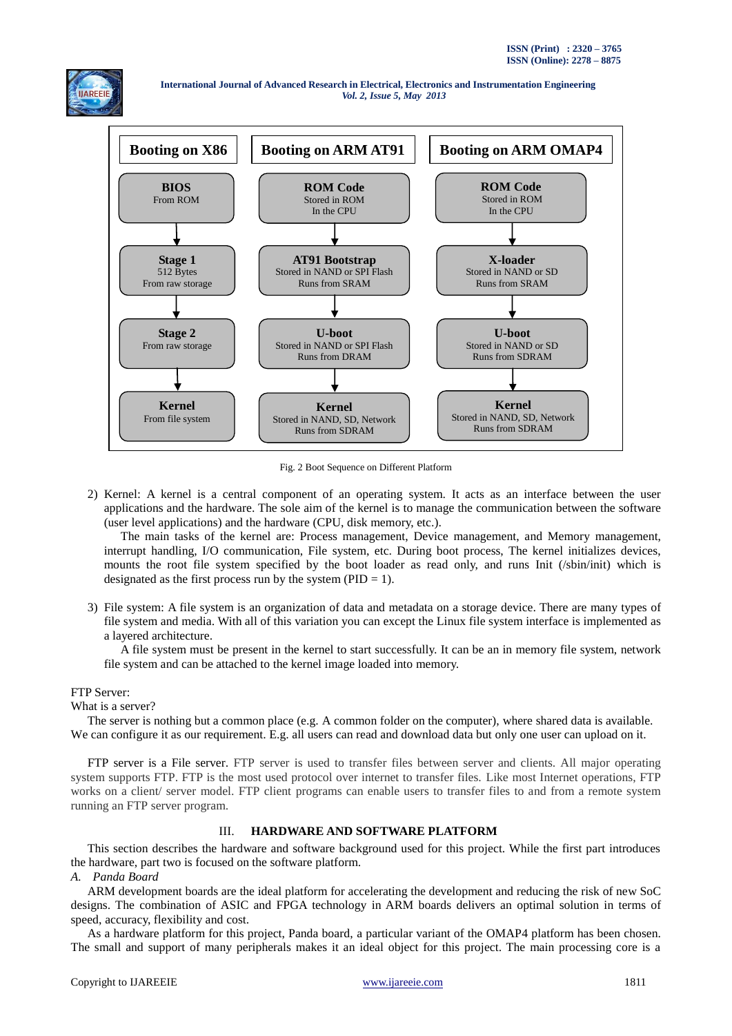



Fig. 2 Boot Sequence on Different Platform

2) Kernel: A kernel is a central component of an operating system. It acts as an interface between the user applications and the hardware. The sole aim of the kernel is to manage the communication between the software (user level applications) and the hardware (CPU, disk memory, etc.).

The main tasks of the kernel are: Process management, Device management, and Memory management, interrupt handling, I/O communication, File system, etc. During boot process, The kernel initializes devices, mounts the root file system specified by the boot loader as read only, and runs Init (/sbin/init) which is designated as the first process run by the system ( $PID = 1$ ).

3) File system: A file system is an organization of data and metadata on a storage device. There are many types of file system and media. With all of this variation you can except the Linux file system interface is implemented as a layered architecture.

A file system must be present in the kernel to start successfully. It can be an in memory file system, network file system and can be attached to the kernel image loaded into memory.

# FTP Server:

#### What is a server?

The server is nothing but a common place (e.g. A common folder on the computer), where shared data is available. We can configure it as our requirement. E.g. all users can read and download data but only one user can upload on it.

FTP server is a File server. FTP server is used to transfer files between server and clients. All major operating system supports FTP. FTP is the most used protocol over internet to transfer files. Like most Internet operations, FTP works on a client/ server model. FTP client programs can enable users to transfer files to and from a remote system running an FTP server program.

## III. **HARDWARE AND SOFTWARE PLATFORM**

This section describes the hardware and software background used for this project. While the first part introduces the hardware, part two is focused on the software platform.

*A. Panda Board*

ARM development boards are the ideal platform for accelerating the development and reducing the risk of new SoC designs. The combination of ASIC and FPGA technology in ARM boards delivers an optimal solution in terms of speed, accuracy, flexibility and cost.

As a hardware platform for this project, Panda board, a particular variant of the OMAP4 platform has been chosen. The small and support of many peripherals makes it an ideal object for this project. The main processing core is a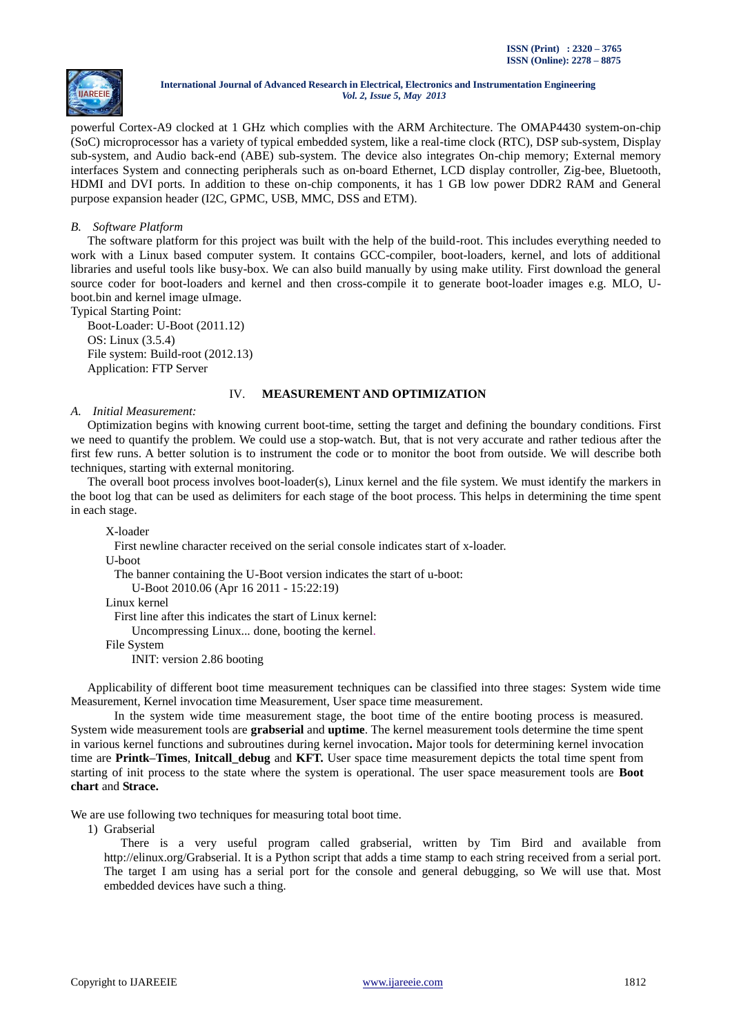

powerful Cortex-A9 clocked at 1 GHz which complies with the ARM Architecture. The OMAP4430 system-on-chip (SoC) microprocessor has a variety of typical embedded system, like a real-time clock (RTC), DSP sub-system, Display sub-system, and Audio back-end (ABE) sub-system. The device also integrates On-chip memory; External memory interfaces System and connecting peripherals such as on-board Ethernet, LCD display controller, Zig-bee, Bluetooth, HDMI and DVI ports. In addition to these on-chip components, it has 1 GB low power DDR2 RAM and General purpose expansion header (I2C, GPMC, USB, MMC, DSS and ETM).

#### *B. Software Platform*

The software platform for this project was built with the help of the build-root. This includes everything needed to work with a Linux based computer system. It contains GCC-compiler, boot-loaders, kernel, and lots of additional libraries and useful tools like busy-box. We can also build manually by using make utility. First download the general source coder for boot-loaders and kernel and then cross-compile it to generate boot-loader images e.g. MLO, Uboot.bin and kernel image uImage.

Typical Starting Point:

Boot-Loader: U-Boot (2011.12) OS: Linux (3.5.4) File system: Build-root (2012.13) Application: FTP Server

#### IV. **MEASUREMENT AND OPTIMIZATION**

#### *A. Initial Measurement:*

Optimization begins with knowing current boot-time, setting the target and defining the boundary conditions. First we need to quantify the problem. We could use a stop-watch. But, that is not very accurate and rather tedious after the first few runs. A better solution is to instrument the code or to monitor the boot from outside. We will describe both techniques, starting with external monitoring.

The overall boot process involves boot-loader(s), Linux kernel and the file system. We must identify the markers in the boot log that can be used as delimiters for each stage of the boot process. This helps in determining the time spent in each stage.

X-loader

First newline character received on the serial console indicates start of x-loader.

U-boot

The banner containing the U-Boot version indicates the start of u-boot:

U-Boot 2010.06 (Apr 16 2011 - 15:22:19)

Linux kernel

First line after this indicates the start of Linux kernel:

Uncompressing Linux... done, booting the kernel.

File System

INIT: version 2.86 booting

Applicability of different boot time measurement techniques can be classified into three stages: System wide time Measurement, Kernel invocation time Measurement, User space time measurement.

In the system wide time measurement stage, the boot time of the entire booting process is measured. System wide measurement tools are **grabserial** and **uptime**. The kernel measurement tools determine the time spent in various kernel functions and subroutines during kernel invocation**.** Major tools for determining kernel invocation time are **Printk–Times**, **Initcall\_debug** and **KFT.** User space time measurement depicts the total time spent from starting of init process to the state where the system is operational. The user space measurement tools are **Boot chart** and **Strace.**

We are use following two techniques for measuring total boot time.

1) Grabserial

There is a very useful program called grabserial, written by Tim Bird and available from http://elinux.org/Grabserial. It is a Python script that adds a time stamp to each string received from a serial port. The target I am using has a serial port for the console and general debugging, so We will use that. Most embedded devices have such a thing.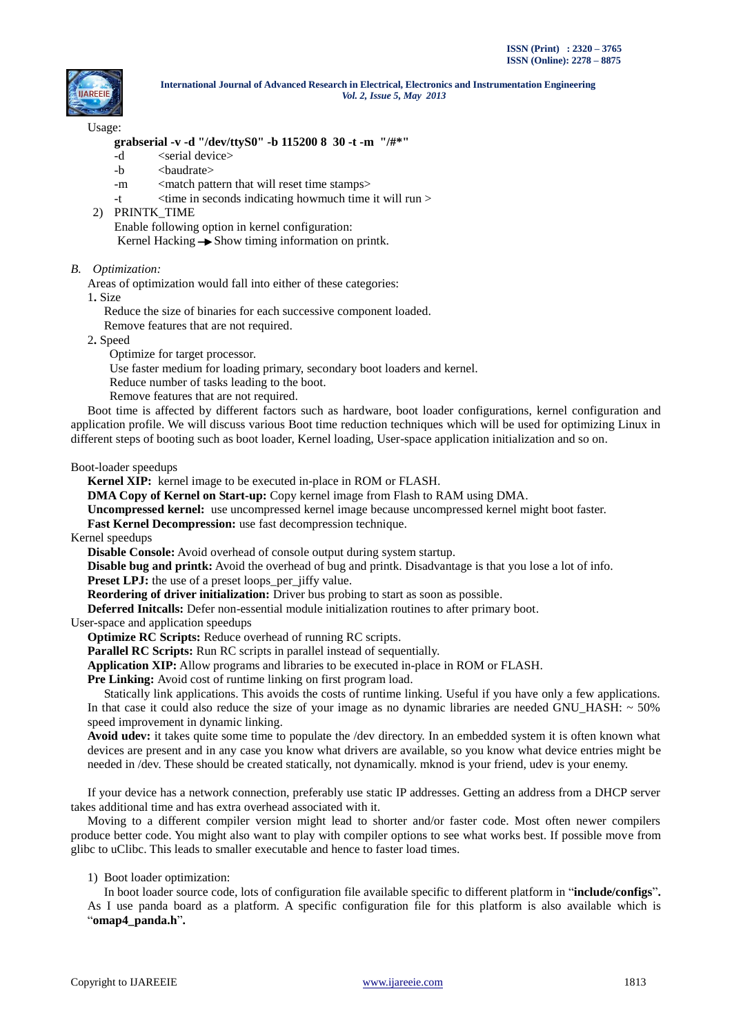

#### Usage:

#### **grabserial -v -d "/dev/ttyS0" -b 115200 8 30 -t -m "/#\*"**

- -d <serial device>
- -b <br/>  $\le$ baudrate>
- -m <match pattern that will reset time stamps>
- $-t$   $\langle$  time in seconds indicating howmuch time it will run  $\rangle$
- 2) PRINTK\_TIME Enable following option in kernel configuration: Kernel Hacking  $\rightarrow$  Show timing information on printk.

#### *B. Optimization:*

Areas of optimization would fall into either of these categories:

1**.** Size

Reduce the size of binaries for each successive component loaded.

Remove features that are not required.

2**.** Speed

Optimize for target processor.

Use faster medium for loading primary, secondary boot loaders and kernel.

Reduce number of tasks leading to the boot.

Remove features that are not required.

Boot time is affected by different factors such as hardware, boot loader configurations, kernel configuration and application profile. We will discuss various Boot time reduction techniques which will be used for optimizing Linux in different steps of booting such as boot loader, Kernel loading, User-space application initialization and so on.

Boot-loader speedups

**Kernel XIP:** kernel image to be executed in-place in ROM or FLASH.

**DMA Copy of Kernel on Start-up:** Copy kernel image from Flash to RAM using DMA.

**Uncompressed kernel:** use uncompressed kernel image because uncompressed kernel might boot faster.

**Fast Kernel Decompression:** use fast decompression technique.

Kernel speedups

**Disable Console:** Avoid overhead of console output during system startup.

**Disable bug and printk:** Avoid the overhead of bug and printk. Disadvantage is that you lose a lot of info.

**Preset LPJ:** the use of a preset loops per jiffy value.

**Reordering of driver initialization:** Driver bus probing to start as soon as possible.

**Deferred Initcalls:** Defer non-essential module initialization routines to after primary boot.

User-space and application speedups

**Optimize RC Scripts:** Reduce overhead of running RC scripts.

Parallel RC Scripts: Run RC scripts in parallel instead of sequentially.

**Application XIP:** Allow programs and libraries to be executed in-place in ROM or FLASH.

Pre Linking: Avoid cost of runtime linking on first program load.

Statically link applications. This avoids the costs of runtime linking. Useful if you have only a few applications. In that case it could also reduce the size of your image as no dynamic libraries are needed GNU HASH:  $\sim$  50% speed improvement in dynamic linking.

**Avoid udev:** it takes quite some time to populate the /dev directory. In an embedded system it is often known what devices are present and in any case you know what drivers are available, so you know what device entries might be needed in /dev. These should be created statically, not dynamically. mknod is your friend, udev is your enemy.

If your device has a network connection, preferably use static IP addresses. Getting an address from a DHCP server takes additional time and has extra overhead associated with it.

Moving to a different compiler version might lead to shorter and/or faster code. Most often newer compilers produce better code. You might also want to play with compiler options to see what works best. If possible move from glibc to uClibc. This leads to smaller executable and hence to faster load times.

#### 1) Boot loader optimization:

In boot loader source code, lots of configuration file available specific to different platform in "**include/configs**"**.** As I use panda board as a platform. A specific configuration file for this platform is also available which is "**omap4\_panda.h**"**.**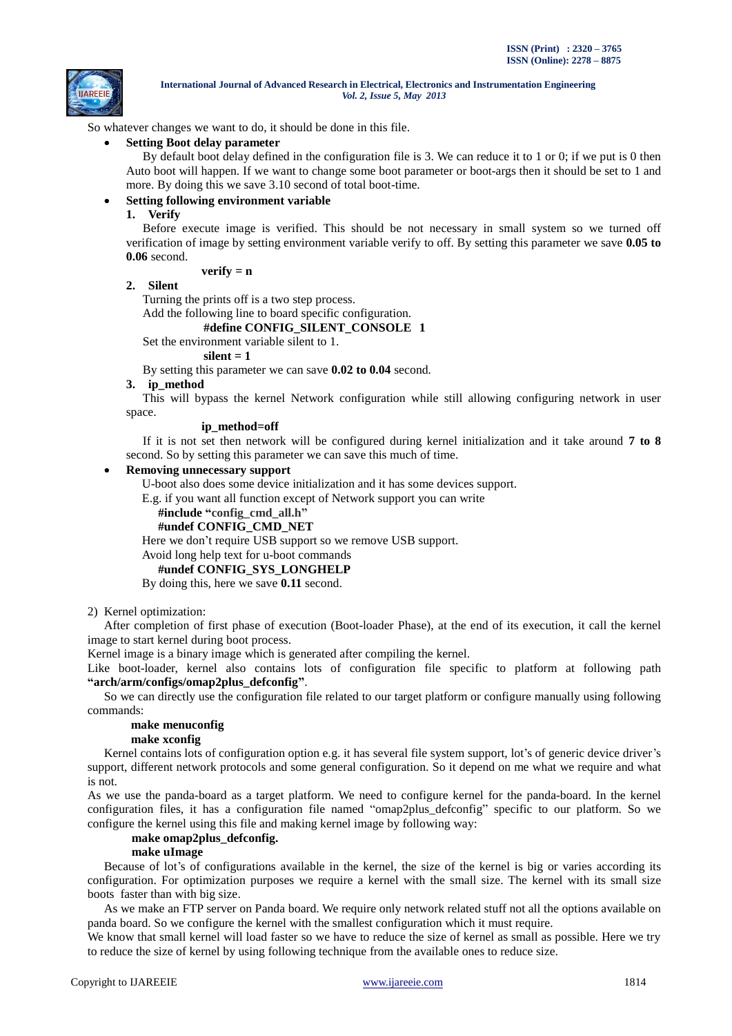

So whatever changes we want to do, it should be done in this file.

**Setting Boot delay parameter**

By default boot delay defined in the configuration file is 3. We can reduce it to 1 or 0; if we put is 0 then Auto boot will happen. If we want to change some boot parameter or boot-args then it should be set to 1 and more. By doing this we save 3.10 second of total boot-time.

#### **Setting following environment variable**

**1. Verify**

Before execute image is verified. This should be not necessary in small system so we turned off verification of image by setting environment variable verify to off. By setting this parameter we save **0.05 to 0.06** second.

#### $\bf verifv = n$

#### **2. Silent**

Turning the prints off is a two step process.

Add the following line to board specific configuration.

# **#define CONFIG\_SILENT\_CONSOLE 1**

Set the environment variable silent to 1.

# **silent = 1**

By setting this parameter we can save **0.02 to 0.04** second.

#### **3. ip\_method**

This will bypass the kernel Network configuration while still allowing configuring network in user space.

## **ip\_method=off**

If it is not set then network will be configured during kernel initialization and it take around **7 to 8** second. So by setting this parameter we can save this much of time.

#### **Removing unnecessary support**

U-boot also does some device initialization and it has some devices support.

E.g. if you want all function except of Network support you can write

**#include "config\_cmd\_all.h"**

## **#undef CONFIG\_CMD\_NET**

Here we don't require USB support so we remove USB support.

# Avoid long help text for u-boot commands

# **#undef CONFIG\_SYS\_LONGHELP**

By doing this, here we save **0.11** second.

2) Kernel optimization:

After completion of first phase of execution (Boot-loader Phase), at the end of its execution, it call the kernel image to start kernel during boot process.

Kernel image is a binary image which is generated after compiling the kernel.

Like boot-loader, kernel also contains lots of configuration file specific to platform at following path **"arch/arm/configs/omap2plus\_defconfig"**.

So we can directly use the configuration file related to our target platform or configure manually using following commands:

#### **make menuconfig**

#### **make xconfig**

Kernel contains lots of configuration option e.g. it has several file system support, lot's of generic device driver's support, different network protocols and some general configuration. So it depend on me what we require and what is not.

As we use the panda-board as a target platform. We need to configure kernel for the panda-board. In the kernel configuration files, it has a configuration file named "omap2plus\_defconfig" specific to our platform. So we configure the kernel using this file and making kernel image by following way:

#### **make omap2plus\_defconfig.**

#### **make uImage**

Because of lot's of configurations available in the kernel, the size of the kernel is big or varies according its configuration. For optimization purposes we require a kernel with the small size. The kernel with its small size boots faster than with big size.

As we make an FTP server on Panda board. We require only network related stuff not all the options available on panda board. So we configure the kernel with the smallest configuration which it must require.

We know that small kernel will load faster so we have to reduce the size of kernel as small as possible. Here we try to reduce the size of kernel by using following technique from the available ones to reduce size.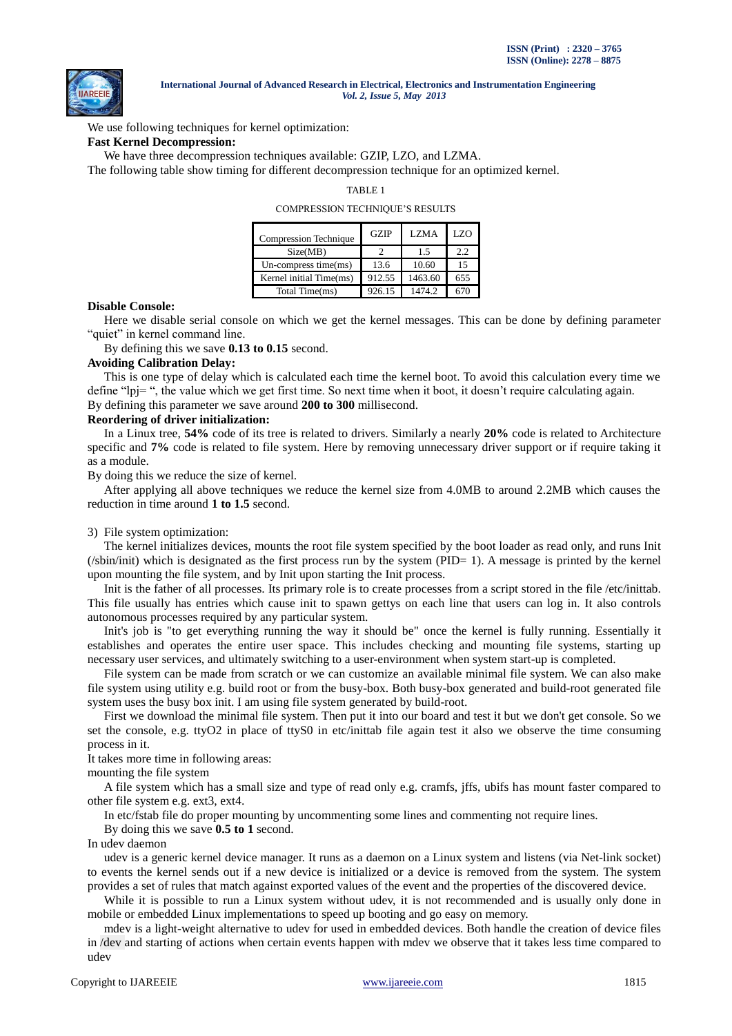

We use following techniques for kernel optimization: **Fast Kernel Decompression:**

We have three decompression techniques available: GZIP, LZO, and LZMA.

The following table show timing for different decompression technique for an optimized kernel.

TABLE 1

COMPRESSION TECHNIQUE"S RESULTS

| <b>Compression Technique</b> | <b>GZIP</b> | <b>LZMA</b> | <b>LZO</b> |
|------------------------------|-------------|-------------|------------|
| Size(MB)                     |             | 1.5         | 2.2        |
| $Un-compress time(ms)$       | 13.6        | 10.60       | 15         |
| Kernel initial Time(ms)      | 912.55      | 1463.60     | 655        |
| Total Time(ms)               | 926.15      | 1474.2      |            |

#### **Disable Console:**

Here we disable serial console on which we get the kernel messages. This can be done by defining parameter "quiet" in kernel command line.

By defining this we save **0.13 to 0.15** second.

## **Avoiding Calibration Delay:**

This is one type of delay which is calculated each time the kernel boot. To avoid this calculation every time we define "lpj= ", the value which we get first time. So next time when it boot, it doesn't require calculating again. By defining this parameter we save around **200 to 300** millisecond.

#### **Reordering of driver initialization:**

In a Linux tree, **54%** code of its tree is related to drivers. Similarly a nearly **20%** code is related to Architecture specific and **7%** code is related to file system. Here by removing unnecessary driver support or if require taking it as a module.

By doing this we reduce the size of kernel.

After applying all above techniques we reduce the kernel size from 4.0MB to around 2.2MB which causes the reduction in time around **1 to 1.5** second.

#### 3) File system optimization:

The kernel initializes devices, mounts the root file system specified by the boot loader as read only, and runs Init (/sbin/init) which is designated as the first process run by the system (PID= 1). A message is printed by the kernel upon mounting the file system, and by Init upon starting the Init process.

Init is the father of all processes. Its primary role is to create processes from a script stored in the file /etc/inittab. This file usually has entries which cause init to spawn gettys on each line that users can log in. It also controls autonomous processes required by any particular system.

Init's job is "to get everything running the way it should be" once the kernel is fully running. Essentially it establishes and operates the entire user space. This includes checking and mounting file systems, starting up necessary user services, and ultimately switching to a user-environment when system start-up is completed.

File system can be made from scratch or we can customize an available minimal file system. We can also make file system using utility e.g. build root or from the busy-box. Both busy-box generated and build-root generated file system uses the busy box init. I am using file system generated by build-root.

First we download the minimal file system. Then put it into our board and test it but we don't get console. So we set the console, e.g. ttyO2 in place of ttyS0 in etc/inittab file again test it also we observe the time consuming process in it.

It takes more time in following areas:

mounting the file system

A file system which has a small size and type of read only e.g. cramfs, jffs, ubifs has mount faster compared to other file system e.g. ext3, ext4.

In etc/fstab file do proper mounting by uncommenting some lines and commenting not require lines.

By doing this we save **0.5 to 1** second.

In udev daemon

udev is a generic kernel device manager. It runs as a daemon on a Linux system and listens (via Net-link socket) to events the kernel sends out if a new device is initialized or a device is removed from the system. The system provides a set of rules that match against exported values of the event and the properties of the discovered device.

While it is possible to run a Linux system without udev, it is not recommended and is usually only done in mobile or embedded Linux implementations to speed up booting and go easy on memory.

mdev is a light-weight alternative to udev for used in embedded devices. Both handle the creation of device files in /dev and starting of actions when certain events happen with mdev we observe that it takes less time compared to udev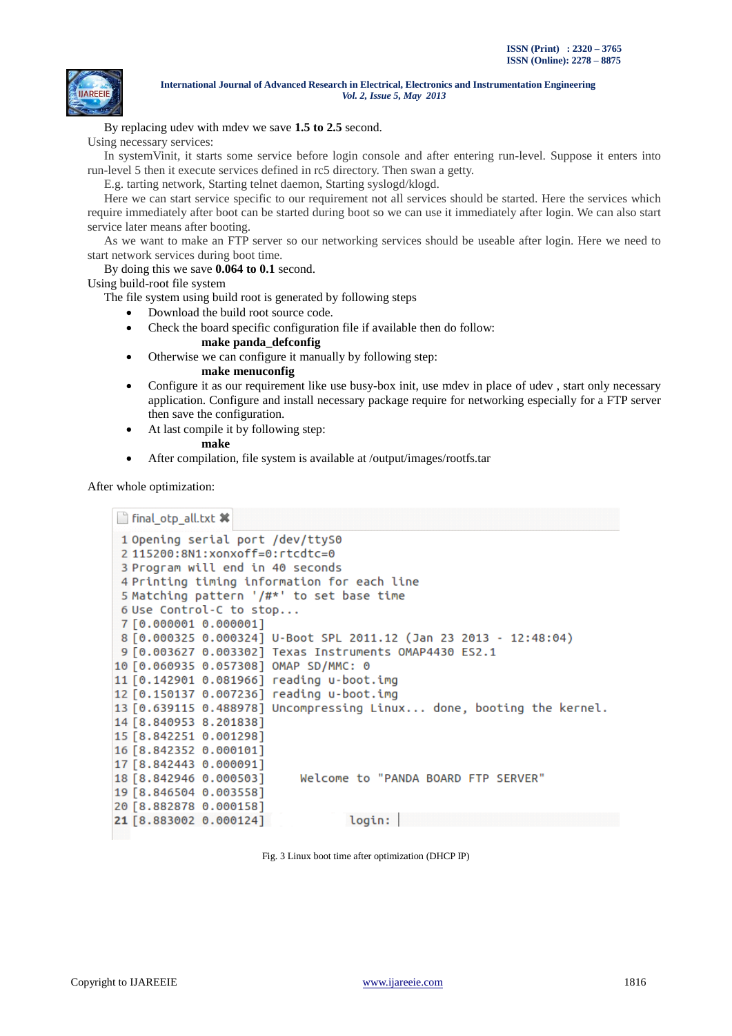

By replacing udev with mdev we save **1.5 to 2.5** second.

Using necessary services:

In systemVinit, it starts some service before login console and after entering run-level. Suppose it enters into run-level 5 then it execute services defined in rc5 directory. Then swan a getty.

E.g. tarting network, Starting telnet daemon, Starting syslogd/klogd.

Here we can start service specific to our requirement not all services should be started. Here the services which require immediately after boot can be started during boot so we can use it immediately after login. We can also start service later means after booting.

As we want to make an FTP server so our networking services should be useable after login. Here we need to start network services during boot time.

By doing this we save **0.064 to 0.1** second.

Using build-root file system

The file system using build root is generated by following steps

- Download the build root source code.
- Check the board specific configuration file if available then do follow:
	- **make panda\_defconfig**
- Otherwise we can configure it manually by following step:
	- **make menuconfig**
- Configure it as our requirement like use busy-box init, use mdev in place of udev , start only necessary application. Configure and install necessary package require for networking especially for a FTP server then save the configuration.
- At last compile it by following step:
	- **make**
- After compilation, file system is available at /output/images/rootfs.tar

After whole optimization:

```
final_otp_all.txt *
1 Opening serial port /dev/ttyS0
 2 115200:8N1:xonxoff=0:rtcdtc=0
 3 Program will end in 40 seconds
 4 Printing timing information for each line
 5 Matching pattern '/#*' to set base time
 6 Use Control-C to stop...
 7 [0.000001 0.000001]
 8 [0.000325 0.000324] U-Boot SPL 2011.12 (Jan 23 2013 - 12:48:04)
 9 [0.003627 0.003302] Texas Instruments OMAP4430 ES2.1
10 [0.060935 0.057308] OMAP SD/MMC: 0
11 [0.142901 0.081966] reading u-boot.img
12 [0.150137 0.007236] reading u-boot.img
13 [0.639115 0.488978] Uncompressing Linux... done, booting the kernel.
14 58.840953 8.2018381
15 [8.842251 0.001298]
16 58.842352 0.0001011
17 [8.842443 0.000091]
18 58.842946 0.0005031
                           Welcome to "PANDA BOARD FTP SERVER"
19 [8.846504 0.003558]
20 [8.882878 0.000158]
                                  login:21 [8.883002 0.000124]
```
Fig. 3 Linux boot time after optimization (DHCP IP)